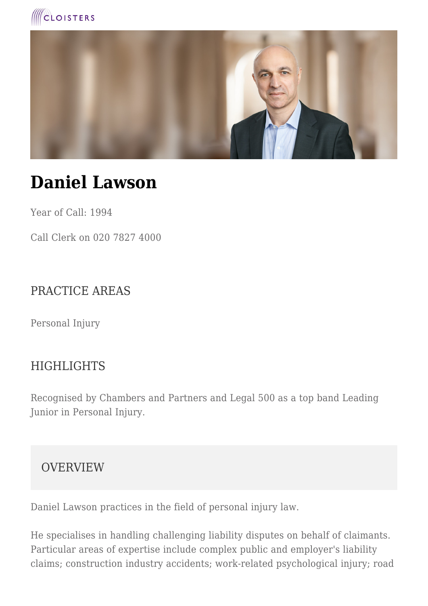



# **Daniel Lawson**

Year of Call: 1994

Call Clerk on 020 7827 4000

### PRACTICE AREAS

Personal Injury

#### **HIGHLIGHTS**

Recognised by Chambers and Partners and Legal 500 as a top band Leading Junior in Personal Injury.

**OVERVIEW** 

Daniel Lawson practices in the field of personal injury law.

He specialises in handling challenging liability disputes on behalf of claimants. Particular areas of expertise include complex public and employer's liability claims; construction industry accidents; work-related psychological injury; road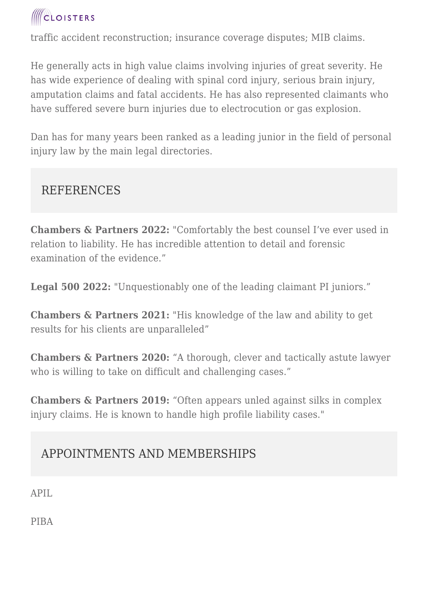

traffic accident reconstruction; insurance coverage disputes; MIB claims.

He generally acts in high value claims involving injuries of great severity. He has wide experience of dealing with spinal cord injury, serious brain injury, amputation claims and fatal accidents. He has also represented claimants who have suffered severe burn injuries due to electrocution or gas explosion.

Dan has for many years been ranked as a leading junior in the field of personal injury law by the main legal directories.

#### REFERENCES

**Chambers & Partners 2022:** "Comfortably the best counsel I've ever used in relation to liability. He has incredible attention to detail and forensic examination of the evidence."

**Legal 500 2022:** "Unquestionably one of the leading claimant PI juniors."

**Chambers & Partners 2021:** "His knowledge of the law and ability to get results for his clients are unparalleled"

**Chambers & Partners 2020:** "A thorough, clever and tactically astute lawyer who is willing to take on difficult and challenging cases."

**Chambers & Partners 2019:** "Often appears unled against silks in complex injury claims. He is known to handle high profile liability cases."

## APPOINTMENTS AND MEMBERSHIPS

APIL

PIBA